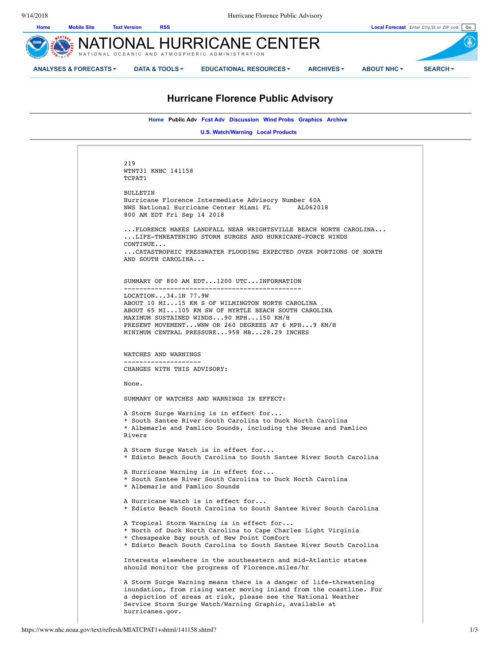

# **Hurricane Florence Public Advisory**

**Home Public Adv Fcst Adv Discussion Wind Probs Graphics Archive** 

**U.S. Watch/Warning Local Products** 

219 WTNT31 KNHC 141158 TCPAT1 BULLETIN Hurricane Florence Intermediate Advisory Number 60A NWS National Hurricane Center Miami FL AL062018 800 AM EDT Fri Sep 14 2018 ...FLORENCE MAKES LANDFALL NEAR WRIGHTSVILLE BEACH NORTH CAROLINA... ...LIFE-THREATENING STORM SURGES AND HURRICANE-FORCE WINDS CONTINUE... ...CATASTROPHIC FRESHWATER FLOODING EXPECTED OVER PORTIONS OF NORTH AND SOUTH CAROLINA... SUMMARY OF 800 AM EDT...1200 UTC...INFORMATION ---------------------------------------------- LOCATION...34.1N 77.9W ABOUT 10 MI...15 KM S OF WILMINGTON NORTH CAROLINA ABOUT 65 MI...105 KM SW OF MYRTLE BEACH SOUTH CAROLINA MAXIMUM SUSTAINED WINDS...90 MPH...150 KM/H PRESENT MOVEMENT...WNW OR 260 DEGREES AT 6 MPH...9 KM/H MINIMUM CENTRAL PRESSURE...958 MB...28.29 INCHES WATCHES AND WARNINGS -------------------- CHANGES WITH THIS ADVISORY: None. SUMMARY OF WATCHES AND WARNINGS IN EFFECT: A Storm Surge Warning is in effect for... \* South Santee River South Carolina to Duck North Carolina \* Albemarle and Pamlico Sounds, including the Neuse and Pamlico Rivers A Storm Surge Watch is in effect for... \* Edisto Beach South Carolina to South Santee River South Carolina A Hurricane Warning is in effect for... \* South Santee River South Carolina to Duck North Carolina \* Albemarle and Pamlico Sounds A Hurricane Watch is in effect for... \* Edisto Beach South Carolina to South Santee River South Carolina A Tropical Storm Warning is in effect for... \* North of Duck North Carolina to Cape Charles Light Virginia \* Chesapeake Bay south of New Point Comfort \* Edisto Beach South Carolina to South Santee River South Carolina Interests elsewhere in the southeastern and mid-Atlantic states should monitor the progress of Florence.miles/hr A Storm Surge Warning means there is a danger of life-threatening inundation, from rising water moving inland from the coastline. For a depiction of areas at risk, please see the National Weather Service Storm Surge Watch/Warning Graphic, available at hurricanes.gov.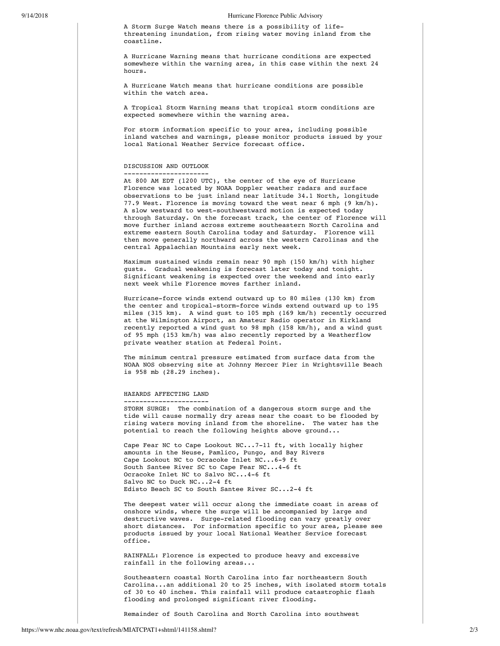#### 9/14/2018 Hurricane Florence Public Advisory

A Storm Surge Watch means there is a possibility of lifethreatening inundation, from rising water moving inland from the coastline.

A Hurricane Warning means that hurricane conditions are expected somewhere within the warning area, in this case within the next 24 hours.

A Hurricane Watch means that hurricane conditions are possible within the watch area.

A Tropical Storm Warning means that tropical storm conditions are expected somewhere within the warning area.

For storm information specific to your area, including possible inland watches and warnings, please monitor products issued by your local National Weather Service forecast office.

## DISCUSSION AND OUTLOOK ----------------------

At 800 AM EDT (1200 UTC), the center of the eye of Hurricane Florence was located by NOAA Doppler weather radars and surface observations to be just inland near latitude 34.1 North, longitude 77.9 West. Florence is moving toward the west near 6 mph (9 km/h). A slow westward to west-southwestward motion is expected today through Saturday. On the forecast track, the center of Florence will move further inland across extreme southeastern North Carolina and extreme eastern South Carolina today and Saturday. Florence will then move generally northward across the western Carolinas and the central Appalachian Mountains early next week.

Maximum sustained winds remain near 90 mph (150 km/h) with higher gusts. Gradual weakening is forecast later today and tonight. Significant weakening is expected over the weekend and into early next week while Florence moves farther inland.

Hurricane-force winds extend outward up to 80 miles (130 km) from the center and tropical-storm-force winds extend outward up to 195 miles (315 km). A wind gust to 105 mph (169 km/h) recently occurred at the Wilmington Airport, an Amateur Radio operator in Kirkland recently reported a wind gust to 98 mph (158 km/h), and a wind gust of 95 mph (153 km/h) was also recently reported by a Weatherflow private weather station at Federal Point.

The minimum central pressure estimated from surface data from the NOAA NOS observing site at Johnny Mercer Pier in Wrightsville Beach is 958 mb (28.29 inches).

#### HAZARDS AFFECTING LAND ----------------------

STORM SURGE: The combination of a dangerous storm surge and the tide will cause normally dry areas near the coast to be flooded by rising waters moving inland from the shoreline. The water has the potential to reach the following heights above ground...

Cape Fear NC to Cape Lookout NC...7-11 ft, with locally higher amounts in the Neuse, Pamlico, Pungo, and Bay Rivers Cape Lookout NC to Ocracoke Inlet NC...6-9 ft South Santee River SC to Cape Fear NC...4-6 ft Ocracoke Inlet NC to Salvo NC...4-6 ft Salvo NC to Duck NC...2-4 ft Edisto Beach SC to South Santee River SC...2-4 ft

The deepest water will occur along the immediate coast in areas of onshore winds, where the surge will be accompanied by large and destructive waves. Surge-related flooding can vary greatly over short distances. For information specific to your area, please see products issued by your local National Weather Service forecast office.

RAINFALL: Florence is expected to produce heavy and excessive rainfall in the following areas...

Southeastern coastal North Carolina into far northeastern South Carolina...an additional 20 to 25 inches, with isolated storm totals of 30 to 40 inches. This rainfall will produce catastrophic flash flooding and prolonged significant river flooding.

Remainder of South Carolina and North Carolina into southwest